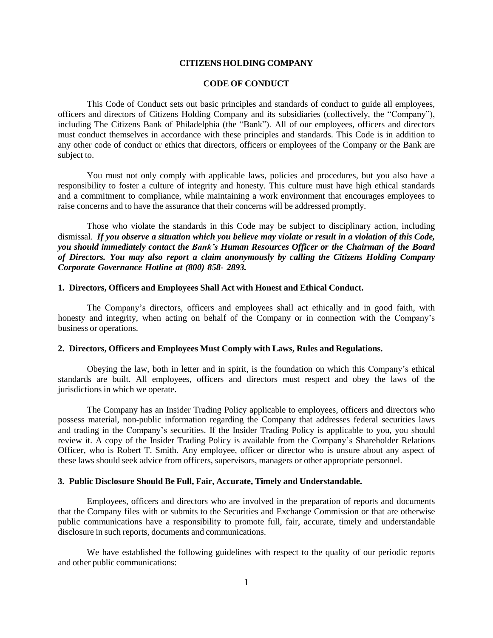# **CITIZENS HOLDING COMPANY**

### **CODE OF CONDUCT**

This Code of Conduct sets out basic principles and standards of conduct to guide all employees, officers and directors of Citizens Holding Company and its subsidiaries (collectively, the "Company"), including The Citizens Bank of Philadelphia (the "Bank"). All of our employees, officers and directors must conduct themselves in accordance with these principles and standards. This Code is in addition to any other code of conduct or ethics that directors, officers or employees of the Company or the Bank are subject to.

You must not only comply with applicable laws, policies and procedures, but you also have a responsibility to foster a culture of integrity and honesty. This culture must have high ethical standards and a commitment to compliance, while maintaining a work environment that encourages employees to raise concerns and to have the assurance that their concerns will be addressed promptly.

Those who violate the standards in this Code may be subject to disciplinary action, including dismissal. If you observe a situation which you believe may violate or result in a violation of this Code, *you should immediately contact the Bank's Human Resources Officer or the Chairman of the Board of Directors. You may also report a claim anonymously by calling the Citizens Holding Company Corporate Governance Hotline at (800) 858- 2893.*

# **1. Directors, Officers and Employees Shall Act with Honest and Ethical Conduct.**

The Company's directors, officers and employees shall act ethically and in good faith, with honesty and integrity, when acting on behalf of the Company or in connection with the Company's business or operations.

#### **2. Directors, Officers and Employees Must Comply with Laws, Rules and Regulations.**

Obeying the law, both in letter and in spirit, is the foundation on which this Company's ethical standards are built. All employees, officers and directors must respect and obey the laws of the jurisdictions in which we operate.

The Company has an Insider Trading Policy applicable to employees, officers and directors who possess material, non-public information regarding the Company that addresses federal securities laws and trading in the Company's securities. If the Insider Trading Policy is applicable to you, you should review it. A copy of the Insider Trading Policy is available from the Company's Shareholder Relations Officer, who is Robert T. Smith. Any employee, officer or director who is unsure about any aspect of these laws should seek advice from officers, supervisors, managers or other appropriate personnel.

## **3. Public Disclosure Should Be Full, Fair, Accurate, Timely and Understandable.**

Employees, officers and directors who are involved in the preparation of reports and documents that the Company files with or submits to the Securities and Exchange Commission or that are otherwise public communications have a responsibility to promote full, fair, accurate, timely and understandable disclosure in such reports, documents and communications.

We have established the following guidelines with respect to the quality of our periodic reports and other public communications: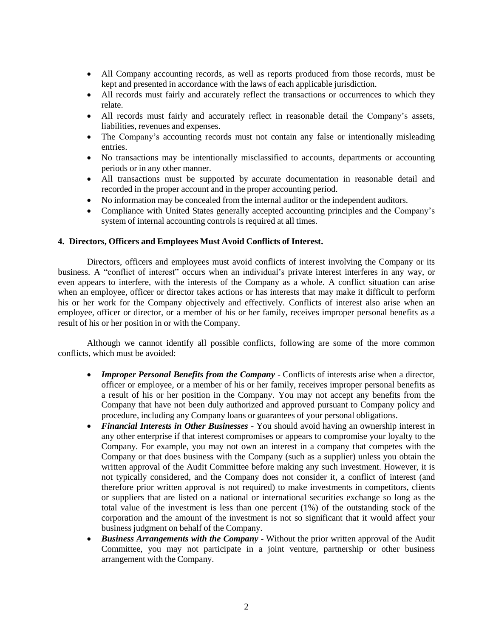- All Company accounting records, as well as reports produced from those records, must be kept and presented in accordance with the laws of each applicable jurisdiction.
- All records must fairly and accurately reflect the transactions or occurrences to which they relate.
- All records must fairly and accurately reflect in reasonable detail the Company's assets, liabilities, revenues and expenses.
- The Company's accounting records must not contain any false or intentionally misleading entries.
- No transactions may be intentionally misclassified to accounts, departments or accounting periods or in any other manner.
- All transactions must be supported by accurate documentation in reasonable detail and recorded in the proper account and in the proper accounting period.
- No information may be concealed from the internal auditor or the independent auditors.
- Compliance with United States generally accepted accounting principles and the Company's system of internal accounting controls is required at all times.

# **4. Directors, Officers and Employees Must Avoid Conflicts of Interest.**

Directors, officers and employees must avoid conflicts of interest involving the Company or its business. A "conflict of interest" occurs when an individual's private interest interferes in any way, or even appears to interfere, with the interests of the Company as a whole. A conflict situation can arise when an employee, officer or director takes actions or has interests that may make it difficult to perform his or her work for the Company objectively and effectively. Conflicts of interest also arise when an employee, officer or director, or a member of his or her family, receives improper personal benefits as a result of his or her position in or with the Company.

Although we cannot identify all possible conflicts, following are some of the more common conflicts, which must be avoided:

- *Improper Personal Benefits from the Company* Conflicts of interests arise when a director, officer or employee, or a member of his or her family, receives improper personal benefits as a result of his or her position in the Company. You may not accept any benefits from the Company that have not been duly authorized and approved pursuant to Company policy and procedure, including any Company loans or guarantees of your personal obligations.
- *Financial Interests in Other Businesses* You should avoid having an ownership interest in any other enterprise if that interest compromises or appears to compromise your loyalty to the Company. For example, you may not own an interest in a company that competes with the Company or that does business with the Company (such as a supplier) unless you obtain the written approval of the Audit Committee before making any such investment. However, it is not typically considered, and the Company does not consider it, a conflict of interest (and therefore prior written approval is not required) to make investments in competitors, clients or suppliers that are listed on a national or international securities exchange so long as the total value of the investment is less than one percent (1%) of the outstanding stock of the corporation and the amount of the investment is not so significant that it would affect your business judgment on behalf of the Company.
- *Business Arrangements with the Company*  Without the prior written approval of the Audit Committee, you may not participate in a joint venture, partnership or other business arrangement with the Company.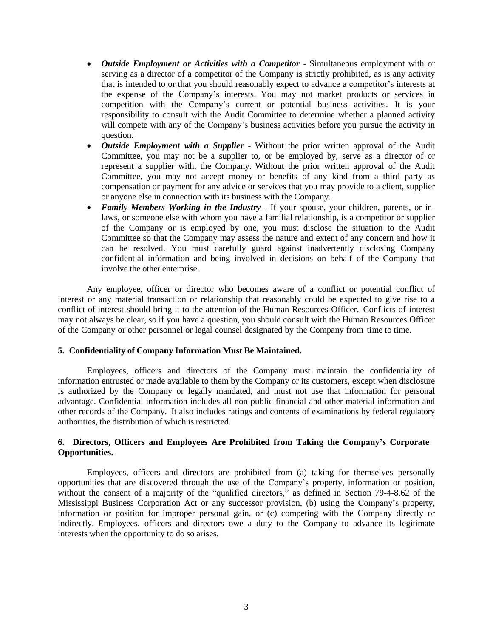- *Outside Employment or Activities with a Competitor* Simultaneous employment with or serving as a director of a competitor of the Company is strictly prohibited, as is any activity that is intended to or that you should reasonably expect to advance a competitor's interests at the expense of the Company's interests. You may not market products or services in competition with the Company's current or potential business activities. It is your responsibility to consult with the Audit Committee to determine whether a planned activity will compete with any of the Company's business activities before you pursue the activity in question.
- *Outside Employment with a Supplier* Without the prior written approval of the Audit Committee, you may not be a supplier to, or be employed by, serve as a director of or represent a supplier with, the Company. Without the prior written approval of the Audit Committee, you may not accept money or benefits of any kind from a third party as compensation or payment for any advice or services that you may provide to a client, supplier or anyone else in connection with its business with the Company.
- *Family Members Working in the Industry* If your spouse, your children, parents, or inlaws, or someone else with whom you have a familial relationship, is a competitor or supplier of the Company or is employed by one, you must disclose the situation to the Audit Committee so that the Company may assess the nature and extent of any concern and how it can be resolved. You must carefully guard against inadvertently disclosing Company confidential information and being involved in decisions on behalf of the Company that involve the other enterprise.

Any employee, officer or director who becomes aware of a conflict or potential conflict of interest or any material transaction or relationship that reasonably could be expected to give rise to a conflict of interest should bring it to the attention of the Human Resources Officer. Conflicts of interest may not always be clear, so if you have a question, you should consult with the Human Resources Officer of the Company or other personnel or legal counsel designated by the Company from time to time.

# **5. Confidentiality of Company Information Must Be Maintained.**

Employees, officers and directors of the Company must maintain the confidentiality of information entrusted or made available to them by the Company or its customers, except when disclosure is authorized by the Company or legally mandated, and must not use that information for personal advantage. Confidential information includes all non-public financial and other material information and other records of the Company. It also includes ratings and contents of examinations by federal regulatory authorities, the distribution of which is restricted.

# **6. Directors, Officers and Employees Are Prohibited from Taking the Company's Corporate Opportunities.**

Employees, officers and directors are prohibited from (a) taking for themselves personally opportunities that are discovered through the use of the Company's property, information or position, without the consent of a majority of the "qualified directors," as defined in Section 79-4-8.62 of the Mississippi Business Corporation Act or any successor provision, (b) using the Company's property, information or position for improper personal gain, or (c) competing with the Company directly or indirectly. Employees, officers and directors owe a duty to the Company to advance its legitimate interests when the opportunity to do so arises.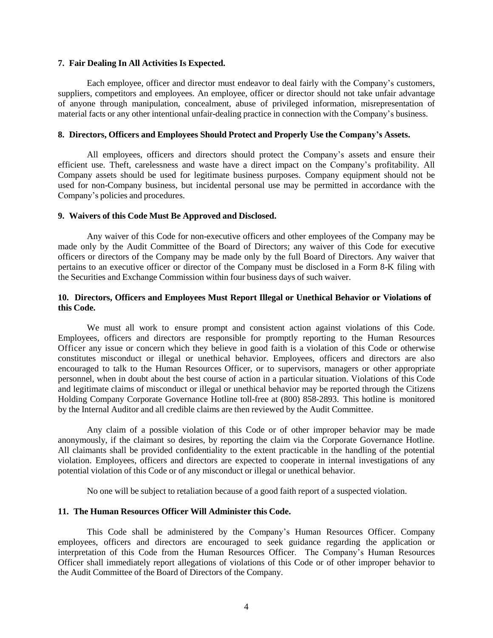### **7. Fair Dealing In All Activities Is Expected.**

Each employee, officer and director must endeavor to deal fairly with the Company's customers, suppliers, competitors and employees. An employee, officer or director should not take unfair advantage of anyone through manipulation, concealment, abuse of privileged information, misrepresentation of material facts or any other intentional unfair-dealing practice in connection with the Company's business.

## **8. Directors, Officers and Employees Should Protect and Properly Use the Company's Assets.**

All employees, officers and directors should protect the Company's assets and ensure their efficient use. Theft, carelessness and waste have a direct impact on the Company's profitability. All Company assets should be used for legitimate business purposes. Company equipment should not be used for non-Company business, but incidental personal use may be permitted in accordance with the Company's policies and procedures.

## **9. Waivers of this Code Must Be Approved and Disclosed.**

Any waiver of this Code for non-executive officers and other employees of the Company may be made only by the Audit Committee of the Board of Directors; any waiver of this Code for executive officers or directors of the Company may be made only by the full Board of Directors. Any waiver that pertains to an executive officer or director of the Company must be disclosed in a Form 8-K filing with the Securities and Exchange Commission within four business days of such waiver.

## **10. Directors, Officers and Employees Must Report Illegal or Unethical Behavior or Violations of this Code.**

We must all work to ensure prompt and consistent action against violations of this Code. Employees, officers and directors are responsible for promptly reporting to the Human Resources Officer any issue or concern which they believe in good faith is a violation of this Code or otherwise constitutes misconduct or illegal or unethical behavior. Employees, officers and directors are also encouraged to talk to the Human Resources Officer, or to supervisors, managers or other appropriate personnel, when in doubt about the best course of action in a particular situation. Violations of this Code and legitimate claims of misconduct or illegal or unethical behavior may be reported through the Citizens Holding Company Corporate Governance Hotline toll-free at (800) 858-2893. This hotline is monitored by the Internal Auditor and all credible claims are then reviewed by the Audit Committee.

Any claim of a possible violation of this Code or of other improper behavior may be made anonymously, if the claimant so desires, by reporting the claim via the Corporate Governance Hotline. All claimants shall be provided confidentiality to the extent practicable in the handling of the potential violation. Employees, officers and directors are expected to cooperate in internal investigations of any potential violation of this Code or of any misconduct or illegal or unethical behavior.

No one will be subject to retaliation because of a good faith report of a suspected violation.

# **11. The Human Resources Officer Will Administer this Code.**

This Code shall be administered by the Company's Human Resources Officer. Company employees, officers and directors are encouraged to seek guidance regarding the application or interpretation of this Code from the Human Resources Officer. The Company's Human Resources Officer shall immediately report allegations of violations of this Code or of other improper behavior to the Audit Committee of the Board of Directors of the Company.